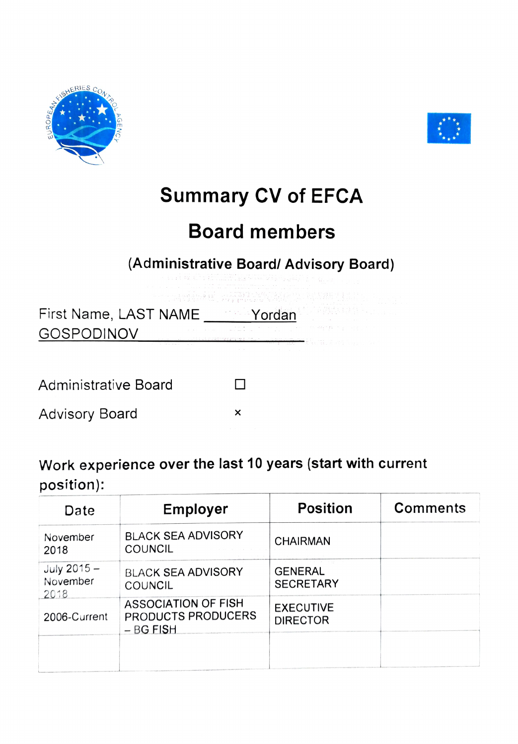



## **Summary CV of EFCA**

## **Board members**

## **(Administrative Board/ Advisory Board)**

First Name, LAST NAME \_\_\_\_\_\_\_Yordan -GOSPODINOV

Administrative Board

Advisory Board □ **<sup>X</sup>**

**Work experience over the last 10 years (start with current**  position):

 $\Box$ 

| Date                            | <b>Employer</b>                                                        | <b>Position</b>                     | <b>Comments</b> |
|---------------------------------|------------------------------------------------------------------------|-------------------------------------|-----------------|
| November<br>2018                | <b>BLACK SEA ADVISORY</b><br><b>COUNCIL</b>                            | <b>CHAIRMAN</b>                     |                 |
| July 2015 -<br>November<br>2018 | <b>BLACK SEA ADVISORY</b><br>COUNCIL                                   | <b>GENERAL</b><br><b>SECRETARY</b>  |                 |
| 2006-Current                    | <b>ASSOCIATION OF FISH</b><br><b>PRODUCTS PRODUCERS</b><br>$-$ BG FISH | <b>EXECUTIVE</b><br><b>DIRECTOR</b> |                 |
|                                 |                                                                        |                                     |                 |